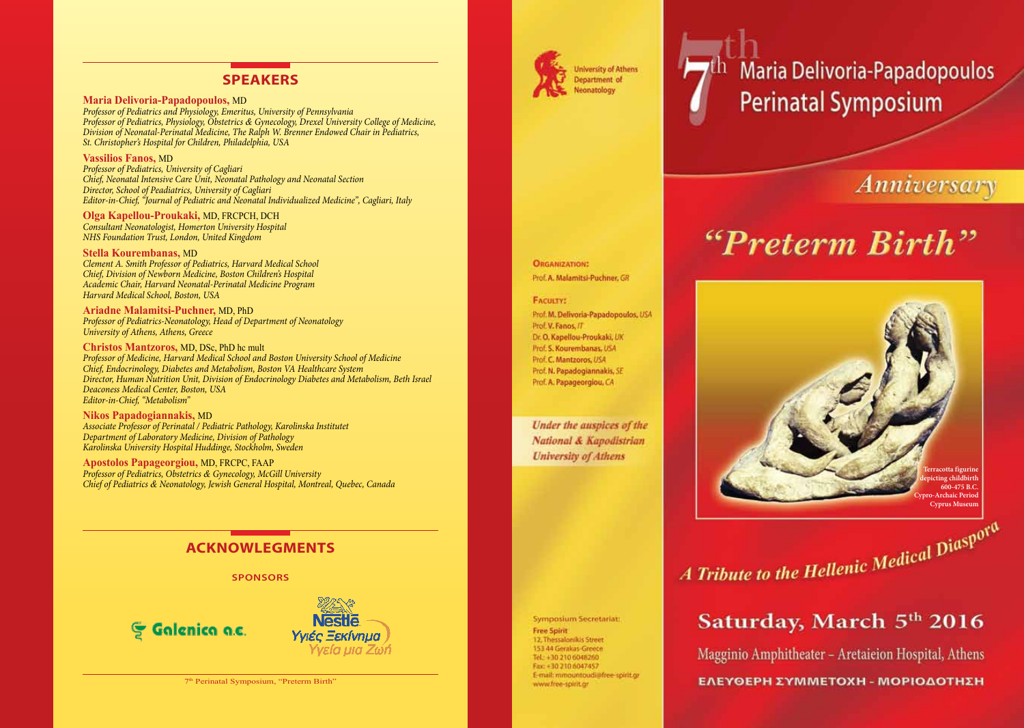### **SPEAKERS**

**Maria Delivoria-Papadopoulos,** MD *Professor of Pediatrics and Physiology, Emeritus, University of Pennsylvania Professor of Pediatrics, Physiology, Obstetrics & Gynecology, Drexel University College of Medicine, Division of Neonatal-Perinatal Medicine, The Ralph W. Brenner Endowed Chair in Pediatrics, St. Christopher's Hospital for Children, Philadelphia, USA*

**Vassilios Fanos,** MD *Professor of Pediatrics, University of Cagliari Chief, Neonatal Intensive Care Unit, Neonatal Pathology and Neonatal Section Director, School of Peadiatrics, University of Cagliari Editor-in-Chief, "Journal of Pediatric and Neonatal Individualized Medicine", Cagliari, Italy*

**Olga Kapellou-Proukaki,** MD, FRCPCH, DCH *Consultant Neonatologist, Homerton University Hospital NHS Foundation Trust, London, United Kingdom*

**Stella Kourembanas,** MD *Clement A. Smith Professor of Pediatrics, Harvard Medical School Chief, Division of Newborn Medicine, Boston Children's Hospital Academic Chair, Harvard Neonatal-Perinatal Medicine Program Harvard Medical School, Boston, USA*

**Ariadne Malamitsi-Puchner,** MD, PhD *Professor of Pediatrics-Neonatology, Head of Department of Neonatology University of Athens, Athens, Greece*

**Christos Mantzoros,** MD, DSc, PhD hc mult *Professor of Medicine, Harvard Medical School and Boston University School of Medicine Chief, Endocrinology, Diabetes and Metabolism, Boston VA Healthcare System Director, Human Nutrition Unit, Division of Endocrinology Diabetes and Metabolism, Beth Israel Deaconess Medical Center, Boston, USA Editor-in-Chief, "Metabolism"*

**Nikos Papadogiannakis,** MD *Associate Professor of Perinatal / Pediatric Pathology, Karolinska Institutet Department of Laboratory Medicine, Division of Pathology Karolinska University Hospital Huddinge, Stockholm, Sweden*

**Apostolos Papageorgiou,** MD, FRCPC, FAAP *Professor of Pediatrics, Obstetrics & Gynecology, McGill University Chief of Pediatrics & Neonatology, Jewish General Hospital, Montreal, Quebec, Canada*

### **ACKNOWLEGMENTS**

**SPONSORS**





7<sup>th</sup> Perinatal Symposium, "Preterm Birth"



**University of Athens Department** of Neonatology

# Maria Delivoria-Papadopoulos **Perinatal Symposium**

# Anniversary

# "Preterm Birth"

**Terracotta figurine depicting childbirth 600-475 B.C. Archaic Period Cyprus Museum**

*A Tribute to the Hellenic Medical Diasporal* 

Symposium Secretariat: **Free Spirit** 12, Thessalonikis Street 153 44 Gerakas-Greece Tel: +30 210 6048260 Fax: +30 210 6047457 E-mail: mmountoudi@free-spirit.gr www.free-spirit.gr

# Saturday, March 5th 2016

Magginio Amphitheater - Aretaieion Hospital, Athens ΕΛΕΥΘΕΡΗ ΣΥΜΜΕΤΟΧΗ - ΜΟΡΙΟΔΟΤΗΣΗ

#### **ORGANIZATION:** Prof. A. Malamitsi-Puchner, GR

#### **FACULTY:**

Prof. M. Delivoria-Papadopoulos, USA Prof. V. Fanos, IT Dr. O. Kapellou-Proukaki, UK Prof. S. Kourembanas, USA Prof. C. Mantzoros, USA Prof. N. Papadogiannakis, SE Prof. A. Papageorgiou, CA

Under the auspices of the National & Kapodistrian **University of Athens**